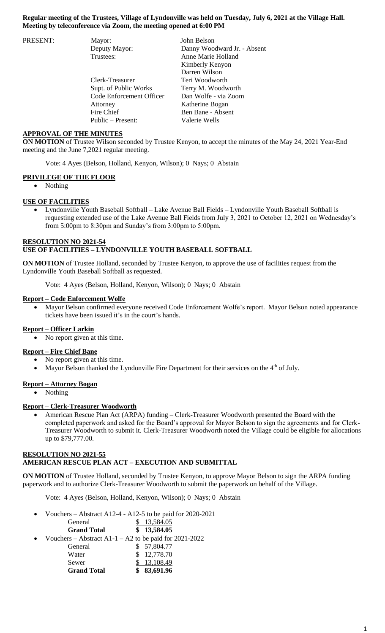| PRESENT: | Mayor:                   | John Belson                 |
|----------|--------------------------|-----------------------------|
|          | Deputy Mayor:            | Danny Woodward Jr. - Absent |
|          | Trustees:                | Anne Marie Holland          |
|          |                          | Kimberly Kenyon             |
|          |                          | Darren Wilson               |
|          | Clerk-Treasurer          | Teri Woodworth              |
|          | Supt. of Public Works    | Terry M. Woodworth          |
|          | Code Enforcement Officer | Dan Wolfe - via Zoom        |
|          | Attorney                 | Katherine Bogan             |
|          | Fire Chief               | Ben Bane - Absent           |
|          | Public – Present:        | Valerie Wells               |

### **APPROVAL OF THE MINUTES**

**ON MOTION** of Trustee Wilson seconded by Trustee Kenyon, to accept the minutes of the May 24, 2021 Year-End meeting and the June 7,2021 regular meeting.

Vote: 4 Ayes (Belson, Holland, Kenyon, Wilson); 0 Nays; 0 Abstain

### **PRIVILEGE OF THE FLOOR**

• Nothing

#### **USE OF FACILITIES**

 Lyndonville Youth Baseball Softball – Lake Avenue Ball Fields – Lyndonville Youth Baseball Softball is requesting extended use of the Lake Avenue Ball Fields from July 3, 2021 to October 12, 2021 on Wednesday's from 5:00pm to 8:30pm and Sunday's from 3:00pm to 5:00pm.

## **RESOLUTION NO 2021-54 USE OF FACILITIES – LYNDONVILLE YOUTH BASEBALL SOFTBALL**

**ON MOTION** of Trustee Holland, seconded by Trustee Kenyon, to approve the use of facilities request from the Lyndonville Youth Baseball Softball as requested.

Vote: 4 Ayes (Belson, Holland, Kenyon, Wilson); 0 Nays; 0 Abstain

#### **Report – Code Enforcement Wolfe**

 Mayor Belson confirmed everyone received Code Enforcement Wolfe's report. Mayor Belson noted appearance tickets have been issued it's in the court's hands.

## **Report – Officer Larkin**

• No report given at this time.

#### **Report – Fire Chief Bane**

- No report given at this time.
- Mayor Belson thanked the Lyndonville Fire Department for their services on the 4<sup>th</sup> of July.

#### **Report – Attorney Bogan**

• Nothing

#### **Report – Clerk-Treasurer Woodworth**

 American Rescue Plan Act (ARPA) funding – Clerk-Treasurer Woodworth presented the Board with the completed paperwork and asked for the Board's approval for Mayor Belson to sign the agreements and for Clerk-Treasurer Woodworth to submit it. Clerk-Treasurer Woodworth noted the Village could be eligible for allocations up to \$79,777.00.

### **RESOLUTION NO 2021-55 AMERICAN RESCUE PLAN ACT – EXECUTION AND SUBMITTAL**

**ON MOTION** of Trustee Holland, seconded by Trustee Kenyon, to approve Mayor Belson to sign the ARPA funding paperwork and to authorize Clerk-Treasurer Woodworth to submit the paperwork on behalf of the Village.

Vote: 4 Ayes (Belson, Holland, Kenyon, Wilson); 0 Nays; 0 Abstain

Vouchers – Abstract A12-4 - A12-5 to be paid for 2020-2021

|           | General            | 13,584.05                                                |
|-----------|--------------------|----------------------------------------------------------|
|           | <b>Grand Total</b> | \$13,584.05                                              |
| $\bullet$ |                    | Vouchers – Abstract A1-1 – A2 to be paid for $2021-2022$ |
|           | General            | \$57,804.77                                              |
|           | Water              | \$12,778.70                                              |
|           | Sewer              | \$13,108.49                                              |
|           | <b>Grand Total</b> | \$83,691.96                                              |
|           |                    |                                                          |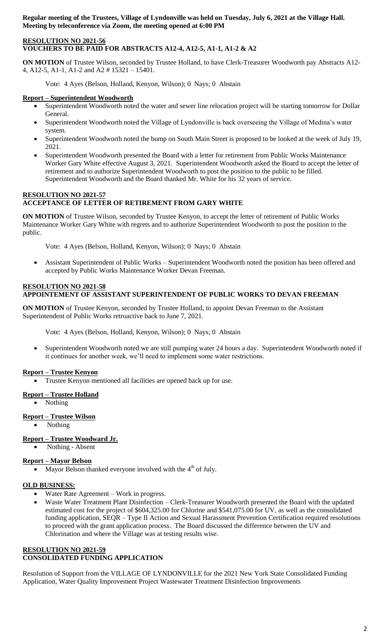## **RESOLUTION NO 2021-56 VOUCHERS TO BE PAID FOR ABSTRACTS A12-4, A12-5, A1-1, A1-2 & A2**

**ON MOTION** of Trustee Wilson, seconded by Trustee Holland, to have Clerk-Treasurer Woodworth pay Abstracts A12- 4, A12-5, A1-1, A1-2 and A2 # 15321 – 15401.

Vote: 4 Ayes (Belson, Holland, Kenyon, Wilson); 0 Nays; 0 Abstain

## **Report – Superintendent Woodworth**

- Superintendent Woodworth noted the water and sewer line relocation project will be starting tomorrow for Dollar General.
- Superintendent Woodworth noted the Village of Lyndonville is back overseeing the Village of Medina's water system.
- Superintendent Woodworth noted the bump on South Main Street is proposed to be looked at the week of July 19, 2021.
- Superintendent Woodworth presented the Board with a letter for retirement from Public Works Maintenance Worker Gary White effective August 3, 2021. Superintendent Woodworth asked the Board to accept the letter of retirement and to authorize Superintendent Woodworth to post the position to the public to be filled. Superintendent Woodworth and the Board thanked Mr. White for his 32 years of service.

### **RESOLUTION NO 2021-57 ACCEPTANCE OF LETTER OF RETIREMENT FROM GARY WHITE**

**ON MOTION** of Trustee Wilson, seconded by Trustee Kenyon, to accept the letter of retirement of Public Works Maintenance Worker Gary White with regrets and to authorize Superintendent Woodworth to post the position to the public.

Vote: 4 Ayes (Belson, Holland, Kenyon, Wilson); 0 Nays; 0 Abstain

 Assistant Superintendent of Public Works – Superintendent Woodworth noted the position has been offered and accepted by Public Works Maintenance Worker Devan Freeman.

## **RESOLUTION NO 2021-58 APPOINTEMENT OF ASSISTANT SUPERINTENDENT OF PUBLIC WORKS TO DEVAN FREEMAN**

**ON MOTION** of Trustee Kenyon, seconded by Trustee Holland, to appoint Devan Freeman to the Assistant Superintendent of Public Works retroactive back to June 7, 2021.

Vote: 4 Ayes (Belson, Holland, Kenyon, Wilson); 0 Nays; 0 Abstain

 Superintendent Woodworth noted we are still pumping water 24 hours a day. Superintendent Woodworth noted if it continues for another week, we'll need to implement some water restrictions.

## **Report – Trustee Kenyon**

Trustee Kenyon mentioned all facilities are opened back up for use.

# **Report – Trustee Holland**

• Nothing

## **Report – Trustee Wilson**

• Nothing

## **Report – Trustee Woodward Jr.**

Nothing - Absent

## **Report – Mayor Belson**

• Mayor Belson thanked everyone involved with the  $4<sup>th</sup>$  of July.

### **OLD BUSINESS:**

- Water Rate Agreement Work in progress.
- Waste Water Treatment Plant Disinfection Clerk-Treasurer Woodworth presented the Board with the updated estimated cost for the project of \$604,325.00 for Chlorine and \$541,075.00 for UV, as well as the consolidated funding application, SEQR – Type II Action and Sexual Harassment Prevention Certification required resolutions to proceed with the grant application process. The Board discussed the difference between the UV and Chlorination and where the Village was at testing results wise.

#### **RESOLUTION NO 2021-59 CONSOLIDATED FUNDING APPLICATION**

Resolution of Support from the VILLAGE OF LYNDONVILLE for the 2021 New York State Consolidated Funding Application, Water Quality Improvement Project Wastewater Treatment Disinfection Improvements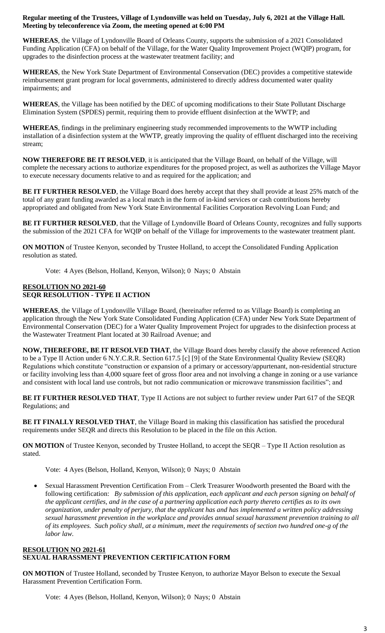**WHEREAS**, the Village of Lyndonville Board of Orleans County, supports the submission of a 2021 Consolidated Funding Application (CFA) on behalf of the Village, for the Water Quality Improvement Project (WQIP) program, for upgrades to the disinfection process at the wastewater treatment facility; and

**WHEREAS**, the New York State Department of Environmental Conservation (DEC) provides a competitive statewide reimbursement grant program for local governments, administered to directly address documented water quality impairments; and

**WHEREAS**, the Village has been notified by the DEC of upcoming modifications to their State Pollutant Discharge Elimination System (SPDES) permit, requiring them to provide effluent disinfection at the WWTP; and

**WHEREAS**, findings in the preliminary engineering study recommended improvements to the WWTP including installation of a disinfection system at the WWTP, greatly improving the quality of effluent discharged into the receiving stream;

**NOW THEREFORE BE IT RESOLVED**, it is anticipated that the Village Board, on behalf of the Village, will complete the necessary actions to authorize expenditures for the proposed project, as well as authorizes the Village Mayor to execute necessary documents relative to and as required for the application; and

**BE IT FURTHER RESOLVED**, the Village Board does hereby accept that they shall provide at least 25% match of the total of any grant funding awarded as a local match in the form of in-kind services or cash contributions hereby appropriated and obligated from New York State Environmental Facilities Corporation Revolving Loan Fund; and

**BE IT FURTHER RESOLVED**, that the Village of Lyndonville Board of Orleans County, recognizes and fully supports the submission of the 2021 CFA for WQIP on behalf of the Village for improvements to the wastewater treatment plant.

**ON MOTION** of Trustee Kenyon, seconded by Trustee Holland, to accept the Consolidated Funding Application resolution as stated.

Vote: 4 Ayes (Belson, Holland, Kenyon, Wilson); 0 Nays; 0 Abstain

## **RESOLUTION NO 2021-60 SEQR RESOLUTION - TYPE II ACTION**

**WHEREAS**, the Village of Lyndonville Village Board, (hereinafter referred to as Village Board) is completing an application through the New York State Consolidated Funding Application (CFA) under New York State Department of Environmental Conservation (DEC) for a Water Quality Improvement Project for upgrades to the disinfection process at the Wastewater Treatment Plant located at 30 Railroad Avenue; and

**NOW, THEREFORE, BE IT RESOLVED THAT**, the Village Board does hereby classify the above referenced Action to be a Type II Action under 6 N.Y.C.R.R. Section 617.5 [c] [9] of the State Environmental Quality Review (SEQR) Regulations which constitute "construction or expansion of a primary or accessory/appurtenant, non-residential structure or facility involving less than 4,000 square feet of gross floor area and not involving a change in zoning or a use variance and consistent with local land use controls, but not radio communication or microwave transmission facilities"; and

**BE IT FURTHER RESOLVED THAT**, Type II Actions are not subject to further review under Part 617 of the SEQR Regulations; and

**BE IT FINALLY RESOLVED THAT**, the Village Board in making this classification has satisfied the procedural requirements under SEQR and directs this Resolution to be placed in the file on this Action.

**ON MOTION** of Trustee Kenyon, seconded by Trustee Holland, to accept the SEQR – Type II Action resolution as stated.

Vote: 4 Ayes (Belson, Holland, Kenyon, Wilson); 0 Nays; 0 Abstain

 Sexual Harassment Prevention Certification From – Clerk Treasurer Woodworth presented the Board with the following certification: *By submission of this application, each applicant and each person signing on behalf of the applicant certifies, and in the case of a partnering application each party thereto certifies as to its own organization, under penalty of perjury, that the applicant has and has implemented a written policy addressing sexual harassment prevention in the workplace and provides annual sexual harassment prevention training to all of its employees. Such policy shall, at a minimum, meet the requirements of section two hundred one-g of the labor law.*

#### **RESOLUTION NO 2021-61 SEXUAL HARASSMENT PREVENTION CERTIFICATION FORM**

**ON MOTION** of Trustee Holland, seconded by Trustee Kenyon, to authorize Mayor Belson to execute the Sexual Harassment Prevention Certification Form.

Vote: 4 Ayes (Belson, Holland, Kenyon, Wilson); 0 Nays; 0 Abstain